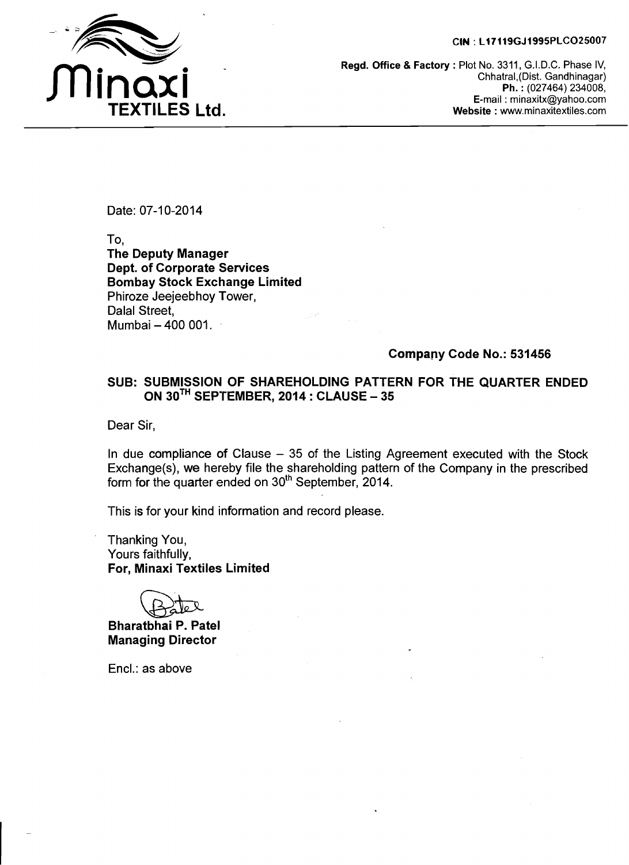#### **CIN** : **L17119GJ1995PLC025007**



**Regd. Office** & **Factory** : Plot No. 3311, G.I.D.C. Phase IV, Chhatral,(Dist. Gandhinagar) **Ph.** : (027464) 234008, E-mail : minaxitx@yahoo.com **Website** : www.minaxitextiles.com

Date: 07-10-2014

To, **The Deputy Manager Dept. of Corporate Services Bombay Stock Exchange Limited**  Phiroze Jeejeebhoy Tower, Dalal Street, Mumbai - 400 001.

### **Company Code No.: 531456**

### **SUB: SUBMISSION OF SHAREHOLDING PATTERN FOR THE QUARTER ENDED ON 3oTH SEPTEMBER, 2014** : **CLAUSE** - **<sup>35</sup>**

Dear Sir,

In due compliance of Clause  $-35$  of the Listing Agreement executed with the Stock Exchange(s), we hereby file the shareholding pattern of the Company in the prescribed form for the quarter ended on 3oth September, 2014.

This is for your kind information and record please.

Thanking You, Yours faithfully, **For, Minaxi Textiles Limited** 

**Bharatbhai P. Patel Managing Director** 

Encl.: as above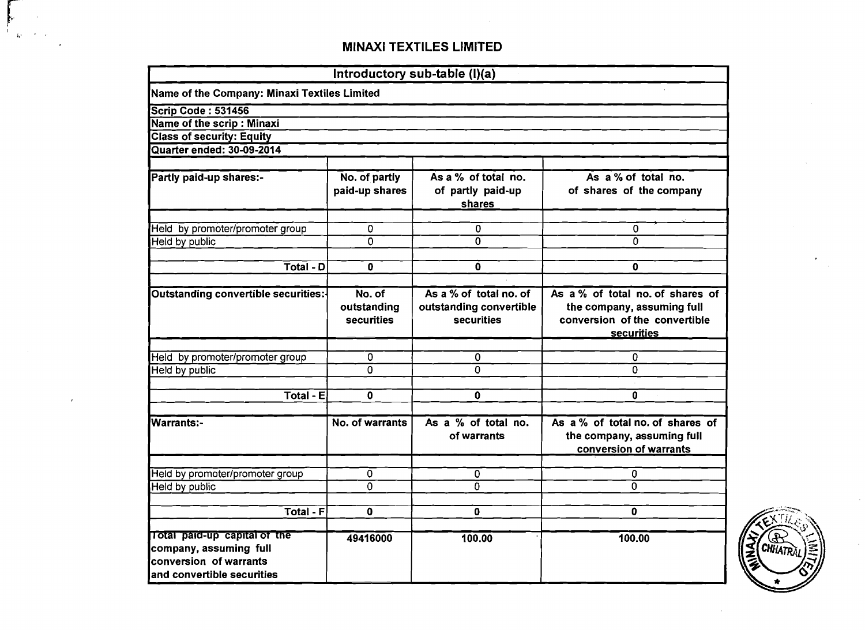$\sum_{i=1}^{n}$  $\hat{K}^{\dagger}$ 

|                                                                                                                |                                     | Introductory sub-table (I)(a)                                   |                                                                                                               |
|----------------------------------------------------------------------------------------------------------------|-------------------------------------|-----------------------------------------------------------------|---------------------------------------------------------------------------------------------------------------|
| Name of the Company: Minaxi Textiles Limited                                                                   |                                     |                                                                 |                                                                                                               |
| Scrip Code: 531456                                                                                             |                                     |                                                                 |                                                                                                               |
| Name of the scrip : Minaxi                                                                                     |                                     |                                                                 |                                                                                                               |
| <b>Class of security: Equity</b>                                                                               |                                     |                                                                 |                                                                                                               |
| Quarter ended: 30-09-2014                                                                                      |                                     |                                                                 |                                                                                                               |
| Partly paid-up shares:-                                                                                        | No. of partly<br>paid-up shares     | As a % of total no.<br>of partly paid-up<br>shares              | As a % of total no.<br>of shares of the company                                                               |
| Held by promoter/promoter group                                                                                | 0                                   | 0                                                               | 0                                                                                                             |
| Held by public                                                                                                 | $\mathbf 0$                         | $\Omega$                                                        | $\Omega$                                                                                                      |
|                                                                                                                |                                     |                                                                 |                                                                                                               |
| $\overline{\text{Total}}$ - D                                                                                  | 0                                   | $\mathbf 0$                                                     | 0                                                                                                             |
|                                                                                                                |                                     |                                                                 |                                                                                                               |
| Outstanding convertible securities:-                                                                           | No. of<br>outstanding<br>securities | As a % of total no. of<br>outstanding convertible<br>securities | As a % of total no. of shares of<br>the company, assuming full<br>conversion of the convertible<br>securities |
| Held by promoter/promoter group                                                                                | 0                                   | 0                                                               | 0                                                                                                             |
| Held by public                                                                                                 | 0                                   | $\mathbf{0}$                                                    | 0                                                                                                             |
|                                                                                                                |                                     |                                                                 |                                                                                                               |
| $\overline{\text{Total}}$ - E                                                                                  | 0                                   | 0                                                               | 0                                                                                                             |
|                                                                                                                |                                     |                                                                 |                                                                                                               |
| Warrants:-                                                                                                     | No. of warrants                     | As a % of total no.<br>of warrants                              | As a % of total no. of shares of<br>the company, assuming full<br>conversion of warrants                      |
| Held by promoter/promoter group                                                                                | 0                                   | 0                                                               | 0                                                                                                             |
| Held by public                                                                                                 | 0                                   | 0                                                               | 0                                                                                                             |
|                                                                                                                |                                     |                                                                 |                                                                                                               |
| <b>Total - F</b>                                                                                               | 0                                   | 0                                                               | 0                                                                                                             |
| Total paid-up capital of the<br>company, assuming full<br>conversion of warrants<br>and convertible securities | 49416000                            | 100.00                                                          | 100.00                                                                                                        |

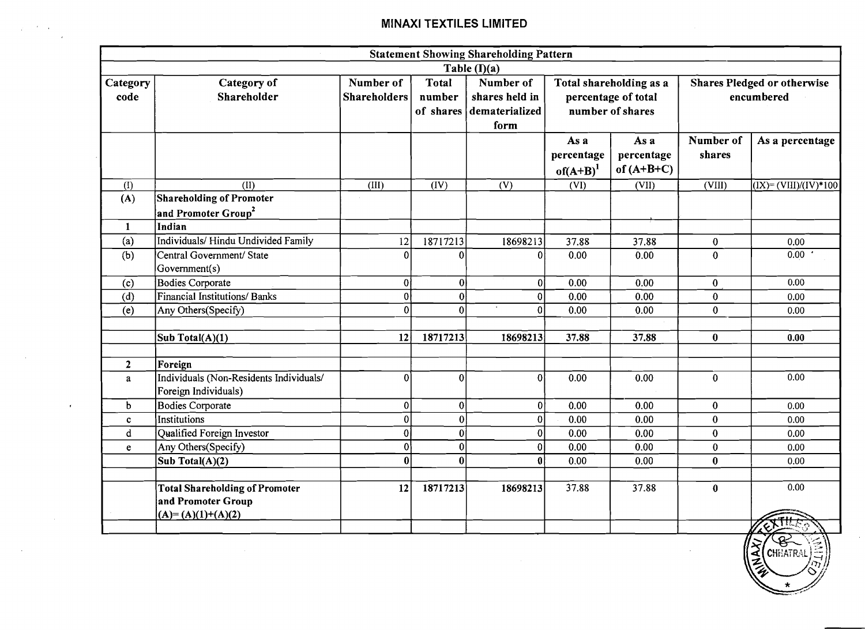|                  |                                                                                    |                                  |                        | <b>Statement Showing Shareholding Pattern</b>                   |                                                                    |                                    |                                                  |                                     |
|------------------|------------------------------------------------------------------------------------|----------------------------------|------------------------|-----------------------------------------------------------------|--------------------------------------------------------------------|------------------------------------|--------------------------------------------------|-------------------------------------|
|                  |                                                                                    |                                  |                        | Table $(I)(a)$                                                  |                                                                    |                                    |                                                  |                                     |
| Category<br>code | Category of<br>Shareholder                                                         | Number of<br><b>Shareholders</b> | <b>Total</b><br>number | Number of<br>shares held in<br>of shares dematerialized<br>form | Total shareholding as a<br>percentage of total<br>number of shares |                                    | <b>Shares Pledged or otherwise</b><br>encumbered |                                     |
|                  |                                                                                    |                                  |                        |                                                                 | As a<br>percentage<br>of $(A+B)^1$                                 | As a<br>percentage<br>of $(A+B+C)$ | Number of<br>shares                              | As a percentage                     |
| (1)              | $\overline{\text{CD}}$                                                             | (III)                            | $\overline{(IV)}$      | $\overline{(V)}$                                                | (VI)                                                               | (VII)                              | (VIII)                                           | $\overline{(IX)} = (VIII)/(IV)*100$ |
| (A)              | <b>Shareholding of Promoter</b>                                                    |                                  |                        |                                                                 |                                                                    |                                    |                                                  |                                     |
|                  | and Promoter Group <sup>2</sup>                                                    |                                  |                        |                                                                 |                                                                    |                                    |                                                  |                                     |
| 1                | Indian                                                                             |                                  |                        |                                                                 |                                                                    |                                    |                                                  |                                     |
| (a)              | Individuals/Hindu Undivided Family                                                 | 12                               | 18717213               | 18698213                                                        | 37.88                                                              | 37.88                              | $\bf{0}$                                         | 0.00                                |
| (b)              | Central Government/ State<br>Government(s)                                         | $\boldsymbol{0}$                 | $\bf{0}$               | 0                                                               | 0.00                                                               | 0.00                               | $\bf{0}$                                         | 0.00                                |
| (c)              | <b>Bodies Corporate</b>                                                            | 0                                | 0                      | $\mathbf{0}$                                                    | 0.00                                                               | 0.00                               | $\bf{0}$                                         | 0.00                                |
| (d)              | <b>Financial Institutions/Banks</b>                                                | $\mathbf 0$                      | 0                      | $\mathbf{0}$                                                    | 0.00                                                               | 0.00                               | $\mathbf{0}$                                     | 0.00                                |
| (e)              | Any Others(Specify)                                                                | $\bf{0}$                         | $\bf{0}$               | $\bf{0}$                                                        | 0.00                                                               | 0.00                               | $\mathbf{0}$                                     | 0.00                                |
|                  |                                                                                    |                                  |                        |                                                                 |                                                                    |                                    |                                                  |                                     |
|                  | Sub Total(A)(1)                                                                    | 12                               | 18717213               | 18698213                                                        | 37.88                                                              | 37.88                              | $\bf{0}$                                         | 0.00                                |
|                  |                                                                                    |                                  |                        |                                                                 |                                                                    |                                    |                                                  |                                     |
| $\overline{2}$   | Foreign                                                                            |                                  |                        |                                                                 |                                                                    |                                    |                                                  |                                     |
| a                | Individuals (Non-Residents Individuals/<br>Foreign Individuals)                    | $\mathbf 0$                      | 0                      | $\mathbf{0}$                                                    | 0.00                                                               | 0.00                               | $\bf{0}$                                         | 0.00                                |
| b                | <b>Bodies Corporate</b>                                                            | $\bf{0}$                         | 0                      | 0                                                               | 0.00                                                               | 0.00                               | $\bf{0}$                                         | 0.00                                |
| $\mathbf{c}$     | Institutions                                                                       | $\boldsymbol{0}$                 | 0                      | $\bf{0}$                                                        | 0.00                                                               | 0.00                               | $\bf{0}$                                         | 0.00                                |
| $\mathbf d$      | Qualified Foreign Investor                                                         | $\mathbf 0$                      | 0                      | $\boldsymbol{0}$                                                | 0.00                                                               | 0.00                               | $\mathbf 0$                                      | 0.00                                |
| e                | Any Others(Specify)                                                                | $\mathbf 0$                      | 0                      | $\mathbf{0}$                                                    | 0.00                                                               | 0.00                               | $\bf{0}$                                         | 0.00                                |
|                  | Sub Total(A)(2)                                                                    | $\bf{0}$                         | 0                      | $\bf{0}$                                                        | 0.00                                                               | 0.00                               | $\bf{0}$                                         | 0.00                                |
|                  |                                                                                    |                                  |                        |                                                                 |                                                                    |                                    |                                                  |                                     |
|                  | <b>Total Shareholding of Promoter</b><br>and Promoter Group<br>$(A)=(A)(1)+(A)(2)$ | 12                               | 18717213               | 18698213                                                        | 37.88                                                              | 37.88                              | $\bf{0}$                                         | 0.00                                |
|                  |                                                                                    |                                  |                        |                                                                 |                                                                    |                                    |                                                  | $\langle \diamond \rangle$          |

 $\sim 10^{-1}$  $\sim 10^{-11}$ 

 $\mathbf{r}$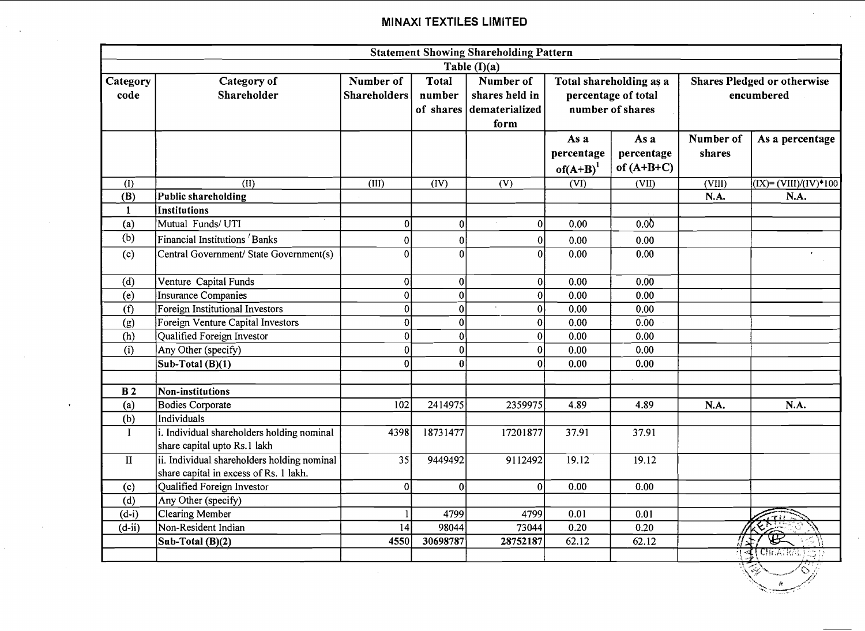|                  | <b>Statement Showing Shareholding Pattern</b>                                         |                                  |                                                                                                                                                                    |                |                                    |                                    |                            |                                                                                                                                                                                                                                                                                                                                                                             |  |
|------------------|---------------------------------------------------------------------------------------|----------------------------------|--------------------------------------------------------------------------------------------------------------------------------------------------------------------|----------------|------------------------------------|------------------------------------|----------------------------|-----------------------------------------------------------------------------------------------------------------------------------------------------------------------------------------------------------------------------------------------------------------------------------------------------------------------------------------------------------------------------|--|
|                  |                                                                                       |                                  |                                                                                                                                                                    | Table $(I)(a)$ |                                    |                                    |                            |                                                                                                                                                                                                                                                                                                                                                                             |  |
| Category<br>code | Category of<br>Shareholder                                                            | Number of<br><b>Shareholders</b> | Number of<br><b>Total</b><br>Total shareholding as a<br>shares held in<br>number<br>percentage of total<br>number of shares<br>of shares<br>dematerialized<br>form |                |                                    |                                    |                            | <b>Shares Pledged or otherwise</b><br>encumbered                                                                                                                                                                                                                                                                                                                            |  |
|                  |                                                                                       |                                  |                                                                                                                                                                    |                | As a<br>percentage<br>of $(A+B)^1$ | As a<br>percentage<br>of $(A+B+C)$ | Number of<br>shares        | As a percentage                                                                                                                                                                                                                                                                                                                                                             |  |
| (I)              | (II)                                                                                  | (III)                            | (IV)                                                                                                                                                               | (V)            | (VI)                               | (VII)                              | $\overline{\text{(VIII)}}$ | $\overline{(IX)} = (\overline{VIII})/(\overline{IV})$ * 100                                                                                                                                                                                                                                                                                                                 |  |
| (B)              | <b>Public shareholding</b>                                                            |                                  |                                                                                                                                                                    |                |                                    |                                    | N.A.                       | N.A.                                                                                                                                                                                                                                                                                                                                                                        |  |
| 1                | <b>Institutions</b>                                                                   |                                  |                                                                                                                                                                    |                |                                    |                                    |                            |                                                                                                                                                                                                                                                                                                                                                                             |  |
| (a)              | Mutual Funds/ UTI                                                                     | $\bf{0}$                         | $\pmb{0}$                                                                                                                                                          | 0              | 0.00                               | 0.0 <sub>0</sub>                   |                            |                                                                                                                                                                                                                                                                                                                                                                             |  |
| (b)              | Financial Institutions <sup>/</sup> Banks                                             | $\boldsymbol{0}$                 | $\overline{0}$                                                                                                                                                     | 0              | 0.00                               | 0.00                               |                            |                                                                                                                                                                                                                                                                                                                                                                             |  |
| (c)              | Central Government/ State Government(s)                                               | $\bf{0}$                         | $\mathbf 0$                                                                                                                                                        | 0              | 0.00                               | 0.00                               |                            |                                                                                                                                                                                                                                                                                                                                                                             |  |
| (d)              | Venture Capital Funds                                                                 | 0                                | 0                                                                                                                                                                  | 0              | 0.00                               | 0.00                               |                            |                                                                                                                                                                                                                                                                                                                                                                             |  |
| (e)              | <b>Insurance Companies</b>                                                            | 0                                | $\mathbf{0}$                                                                                                                                                       | 0              | 0.00                               | 0.00                               |                            |                                                                                                                                                                                                                                                                                                                                                                             |  |
| (f)              | Foreign Institutional Investors                                                       | $\mathbf{0}$                     | $\bf{0}$                                                                                                                                                           | 0              | 0.00                               | 0.00                               |                            |                                                                                                                                                                                                                                                                                                                                                                             |  |
| (g)              | Foreign Venture Capital Investors                                                     | $\overline{0}$                   | $\overline{0}$                                                                                                                                                     | 0              | 0.00                               | 0.00                               |                            |                                                                                                                                                                                                                                                                                                                                                                             |  |
| (h)              | Qualified Foreign Investor                                                            | $\bf{0}$                         | $\pmb{0}$                                                                                                                                                          | 0              | 0.00                               | 0.00                               |                            |                                                                                                                                                                                                                                                                                                                                                                             |  |
| (i)              | Any Other (specify)                                                                   | $\bf{0}$                         | $\bf{0}$                                                                                                                                                           | 0              | 0.00                               | 0.00                               |                            |                                                                                                                                                                                                                                                                                                                                                                             |  |
|                  | Sub-Total (B)(1)                                                                      | $\bf{0}$                         | $\bf{0}$                                                                                                                                                           | 0              | 0.00                               | 0.00                               |                            |                                                                                                                                                                                                                                                                                                                                                                             |  |
|                  |                                                                                       |                                  |                                                                                                                                                                    |                |                                    |                                    |                            |                                                                                                                                                                                                                                                                                                                                                                             |  |
| <b>B2</b>        | <b>Non-institutions</b>                                                               |                                  |                                                                                                                                                                    |                |                                    |                                    |                            |                                                                                                                                                                                                                                                                                                                                                                             |  |
| (a)              | <b>Bodies Corporate</b>                                                               | 102                              | 2414975                                                                                                                                                            | 2359975        | 4.89                               | 4.89                               | N.A.                       | N.A.                                                                                                                                                                                                                                                                                                                                                                        |  |
| (b)              | Individuals                                                                           |                                  |                                                                                                                                                                    |                |                                    |                                    |                            |                                                                                                                                                                                                                                                                                                                                                                             |  |
| $\bf{I}$         | i. Individual shareholders holding nominal<br>share capital upto Rs.1 lakh            | 4398                             | 18731477                                                                                                                                                           | 17201877       | 37.91                              | 37.91                              |                            |                                                                                                                                                                                                                                                                                                                                                                             |  |
| $\rm II$         | ii. Individual shareholders holding nominal<br>share capital in excess of Rs. 1 lakh. | 35                               | 9449492                                                                                                                                                            | 9112492        | 19.12                              | 19.12                              |                            |                                                                                                                                                                                                                                                                                                                                                                             |  |
| (c)              | Qualified Foreign Investor                                                            | $\boldsymbol{0}$                 | 0 <sup>1</sup>                                                                                                                                                     | 0              | 0.00                               | 0.00                               |                            |                                                                                                                                                                                                                                                                                                                                                                             |  |
| (d)              | Any Other (specify)                                                                   |                                  |                                                                                                                                                                    |                |                                    |                                    |                            |                                                                                                                                                                                                                                                                                                                                                                             |  |
| $(d-i)$          | <b>Clearing Member</b>                                                                |                                  | 4799                                                                                                                                                               | 4799           | 0.01                               | 0.01                               |                            | ی ہے۔                                                                                                                                                                                                                                                                                                                                                                       |  |
| $(d-ii)$         | Non-Resident Indian                                                                   | 4                                | 98044                                                                                                                                                              | 73044          | 0.20                               | 0.20                               |                            | ヒンニ                                                                                                                                                                                                                                                                                                                                                                         |  |
|                  | Sub-Total (B)(2)                                                                      | 4550                             | 30698787                                                                                                                                                           | 28752187       | 62.12                              | 62.12                              |                            | ₩                                                                                                                                                                                                                                                                                                                                                                           |  |
|                  |                                                                                       |                                  |                                                                                                                                                                    |                |                                    |                                    |                            | <b>CHEATRA</b>                                                                                                                                                                                                                                                                                                                                                              |  |
|                  |                                                                                       |                                  |                                                                                                                                                                    |                |                                    |                                    |                            | $\begin{picture}(120,110) \put(0,0){\vector(1,0){10}} \put(15,0){\vector(1,0){10}} \put(15,0){\vector(1,0){10}} \put(15,0){\vector(1,0){10}} \put(15,0){\vector(1,0){10}} \put(15,0){\vector(1,0){10}} \put(15,0){\vector(1,0){10}} \put(15,0){\vector(1,0){10}} \put(15,0){\vector(1,0){10}} \put(15,0){\vector(1,0){10}} \put(15,0){\vector(1,0){10}} \put(15,0){\vector$ |  |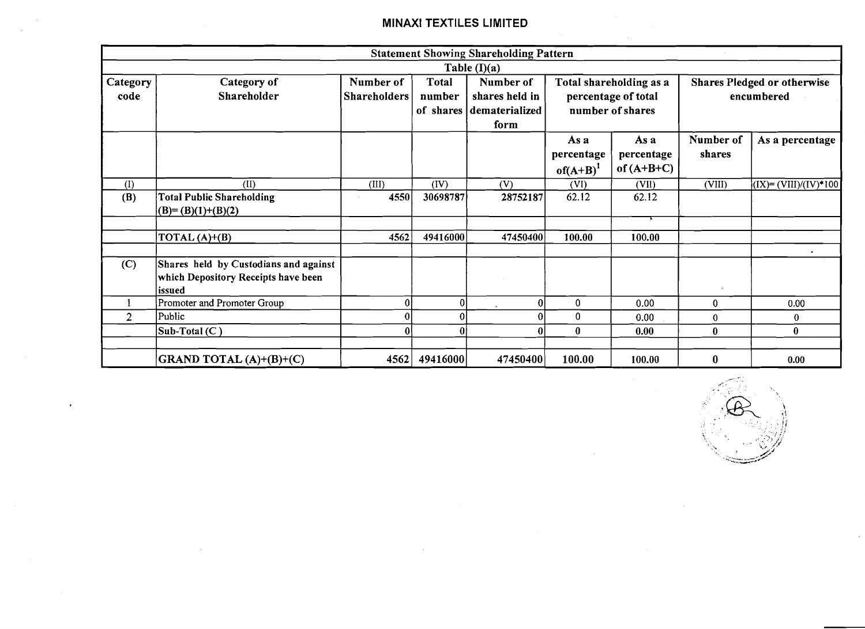|                  |                                                                                        |                                  |                        | <b>Statement Showing Shareholding Pattern</b>                   |                                                                    |                                    |                     |                                                  |
|------------------|----------------------------------------------------------------------------------------|----------------------------------|------------------------|-----------------------------------------------------------------|--------------------------------------------------------------------|------------------------------------|---------------------|--------------------------------------------------|
|                  |                                                                                        |                                  |                        | Table $(I)(a)$                                                  |                                                                    |                                    |                     |                                                  |
| Category<br>code | Category of<br>Shareholder                                                             | Number of<br><b>Shareholders</b> | <b>Total</b><br>number | Number of<br>shares held in<br>of shares dematerialized<br>form | Total shareholding as a<br>percentage of total<br>number of shares |                                    |                     | <b>Shares Pledged or otherwise</b><br>encumbered |
|                  |                                                                                        |                                  |                        |                                                                 | As a<br>percentage<br>$of(A+B)^{1}$                                | As a<br>percentage<br>of $(A+B+C)$ | Number of<br>shares | As a percentage                                  |
| (I)              | (II)                                                                                   | (III)                            | (IV)                   | (V)                                                             | (VI)                                                               | (VII)                              | (VIII)              | $(IX) = (VIII)/(IV)*100$                         |
| (B)              | <b>Total Public Shareholding</b><br>$(B)=(B)(1)+(B)(2)$                                | 4550                             | 30698787               | 28752187                                                        | 62.12                                                              | 62.12                              |                     |                                                  |
|                  | TOTAL $(A)+(B)$                                                                        | 4562                             | 49416000               | 47450400                                                        | 100.00                                                             | 100.00                             |                     | $\bullet$                                        |
| (C)              | Shares held by Custodians and against<br>which Depository Receipts have been<br>issued |                                  |                        |                                                                 |                                                                    |                                    |                     |                                                  |
|                  | Promoter and Promoter Group                                                            |                                  |                        | 0                                                               | 0                                                                  | 0.00                               | $\overline{0}$      | 0.00                                             |
| $\overline{2}$   | Public                                                                                 |                                  |                        | $\Omega$                                                        | 0                                                                  | 0.00                               | $\bf{0}$            | $\mathbf{0}$                                     |
|                  | Sub-Total (C)                                                                          |                                  |                        | $\Omega$                                                        | $\bf{0}$                                                           | 0.00                               | $\mathbf{0}$        | $\bf{0}$                                         |
|                  | GRAND TOTAL (A)+(B)+(C)                                                                | 4562                             | 49416000               | 47450400                                                        | 100.00                                                             | 100.00                             | $\bf{0}$            | 0.00                                             |

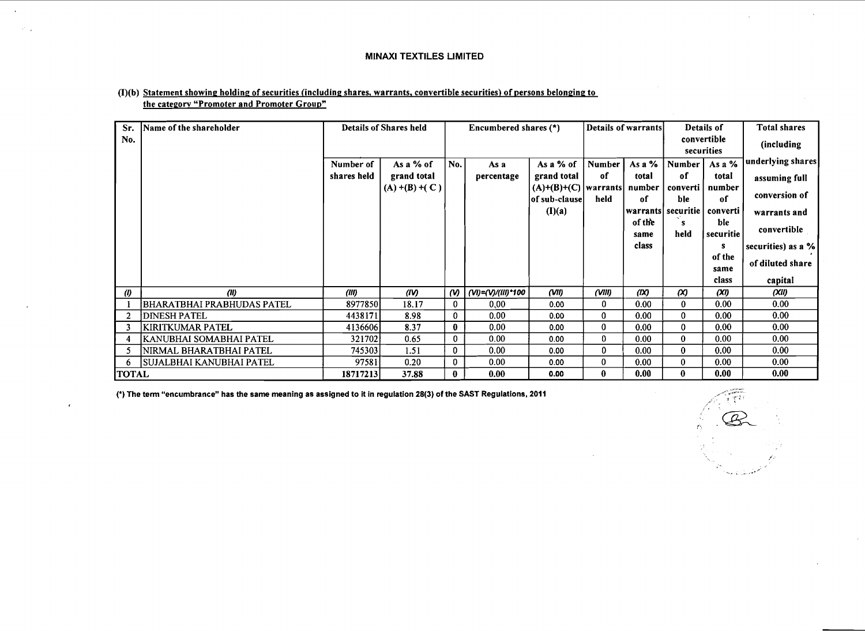| Sr.          | Name of the shareholder    |             | <b>Details of Shares held</b> |                       | Encumbered shares (*) |                                              |          | Details of warrants |                   | Details of                | <b>Total shares</b> |
|--------------|----------------------------|-------------|-------------------------------|-----------------------|-----------------------|----------------------------------------------|----------|---------------------|-------------------|---------------------------|---------------------|
| No.          |                            |             |                               |                       |                       |                                              |          |                     |                   | convertible<br>securities | (including          |
|              |                            | Number of   | As a % of                     | No.                   | As a                  | As a % of                                    | Number   | As a $%$            | <b>Number</b>     | As a $%$                  | underlying shares   |
|              |                            | shares held | grand total                   |                       | percentage            | grand total                                  | of       | total               | of                | total                     | assuming full       |
|              |                            |             | $(A) + (B) + (C)$             |                       |                       | $(A)+(B)+(C)$   warrants  <br> of sub-clause | held     | number<br>of        | converti  <br>ble | number<br>of              | conversion of       |
|              |                            |             |                               |                       |                       | (I)(a)                                       |          | warrantsl           |                   | securitie   converti      | warrants and        |
|              |                            |             |                               |                       |                       |                                              |          | of the<br>same      | held              | ble<br>securitie          | convertible         |
|              |                            |             |                               |                       |                       |                                              |          | class               |                   | s                         | securities) as a %  |
|              |                            |             |                               |                       |                       |                                              |          |                     |                   | of the                    | of diluted share    |
|              |                            |             |                               |                       |                       |                                              |          |                     |                   | same                      |                     |
|              |                            |             |                               |                       |                       |                                              |          |                     |                   | class                     | capital             |
| $\omega$     | (11)                       | (HI)        | (IV)                          | $\boldsymbol{\omega}$ | (VI)=(V)/(III)*100    | (VII)                                        | (VIII)   | (IX)                | $\infty$          | (XI)                      | (XII)               |
|              | BHARATBHAI PRABHUDAS PATEL | 8977850     | 18.17                         | $\mathbf 0$           | 0.00                  | 0.00                                         | 0        | 0.00                | $\bf{0}$          | 0.00                      | 0.00                |
| $\mathbf{2}$ | <b>DINESH PATEL</b>        | 4438171     | 8.98                          | $\bf{0}$              | 0.00                  | 0.00                                         | 0        | 0.00                | $\bf{0}$          | 0.00                      | 0.00                |
|              | KIRITKUMAR PATEL           | 4136606     | 8.37                          | $\bf{0}$              | 0.00 <sub>1</sub>     | 0.00                                         | 0        | 0.00                | 0                 | 0.00                      | 0.00                |
|              | KANUBHAI SOMABHAI PATEL    | 321702      | 0.65                          | $\mathbf{0}$          | 0.00                  | 0.00                                         | 0        | 0.00                | $\bf{0}$          | 0.00                      | 0.00                |
|              | NIRMAL BHARATBHAI PATEL    | 745303      | 1.51                          | 0                     | 0.00                  | 0.00                                         | 0        | 0.00                | $\bf{0}$          | 0.00                      | 0.00                |
| 6            | SUJALBHAI KANUBHAI PATEL   | 97581       | 0.20                          | $\mathbf{0}$          | 0.00                  | 0.00                                         | 0        | 0.00                | 0                 | 0.00                      | 0.00                |
| <b>TOTAL</b> |                            | 187172131   | 37.88                         | $\bf{0}$              | 0.00                  | 0.00                                         | $\bf{0}$ | 0.00                | $\bf{0}$          | 0.00                      | 0.00                |

#### $(I)(b)$  Statement showing holding of securities (including shares, warrants, convertible securities) of persons belonging to the category "Promoter and Promoter Group"

(.) The term "encumbrance" has the same meaning as assigned to it in regulation **28(3)** of the SAST Regulations, 2011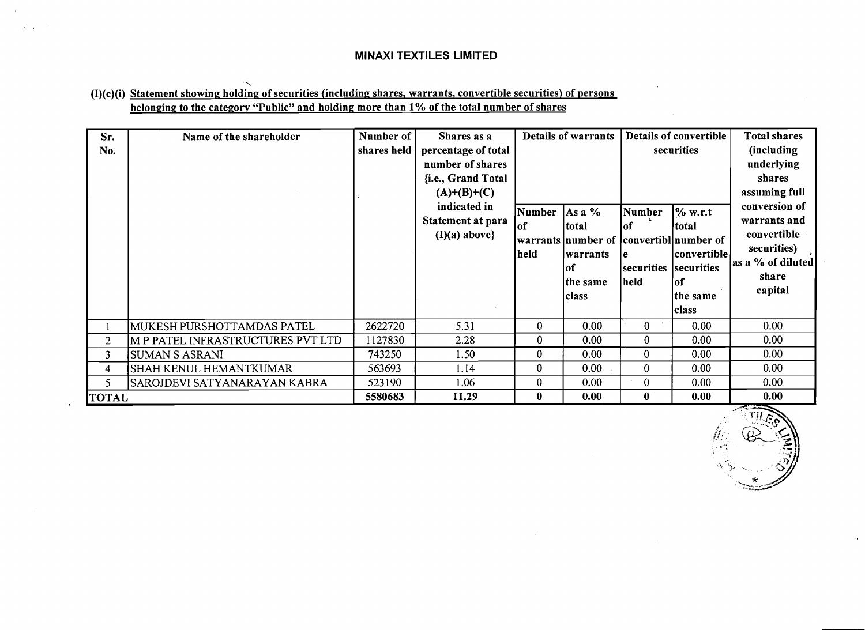### $\ddot{\phantom{0}}$ (I)(c)(i) Statement showing holding of securities (including shares, warrants, convertible securities) of persons belonging to the category "Public" and holding more than **1%** of the total number of shares

| Sr.<br>No.   | Name of the shareholder           | Number of<br>shares held | Shares as a<br>percentage of total<br>number of shares<br>{i.e., Grand Total<br>$(A)+(B)+(C)$<br>indicated in<br>Statement at para<br>$(I)(a)$ above} | Number<br>lof<br>held | <b>Details of warrants</b><br>As a %<br>total<br>warrants   number of<br>warrants<br> of<br>the same<br> class | Number<br>lof<br>١e<br>securities<br> held | Details of convertible<br>securities<br>$\frac{6}{6}$ w.r.t<br>total<br>convertibl number of<br> convertible <br>securities<br>lof<br>the same<br><b>class</b> | <b>Total shares</b><br>(including<br>underlying<br>shares<br>assuming full<br>conversion of<br>warrants and<br>convertible<br>securities)<br>as a % of diluted<br>share<br>capital |
|--------------|-----------------------------------|--------------------------|-------------------------------------------------------------------------------------------------------------------------------------------------------|-----------------------|----------------------------------------------------------------------------------------------------------------|--------------------------------------------|----------------------------------------------------------------------------------------------------------------------------------------------------------------|------------------------------------------------------------------------------------------------------------------------------------------------------------------------------------|
|              | MUKESH PURSHOTTAMDAS PATEL        | 2622720                  | 5.31                                                                                                                                                  | $\mathbf{0}$          | 0.00                                                                                                           | $\bf{0}$                                   | 0.00                                                                                                                                                           | 0.00 <sub>1</sub>                                                                                                                                                                  |
| $\mathbf{2}$ | M P PATEL INFRASTRUCTURES PVT LTD | 1127830                  | 2.28                                                                                                                                                  | $\bf{0}$              | 0.00                                                                                                           | $\bf{0}$                                   | 0.00                                                                                                                                                           | 0.00                                                                                                                                                                               |
| 3            | SUMAN S ASRANI                    | 743250                   | 1.50                                                                                                                                                  | $\bf{0}$              | 0.00                                                                                                           | $\bf{0}$                                   | 0.00                                                                                                                                                           | 0.00 <sub>1</sub>                                                                                                                                                                  |
| 4            | <b>SHAH KENUL HEMANTKUMAR</b>     | 563693                   | 1.14                                                                                                                                                  | $\bf{0}$              | 0.00                                                                                                           | $\bf{0}$                                   | 0.00                                                                                                                                                           | 0.00                                                                                                                                                                               |
| 5            | SAROJDEVI SATYANARAYAN KABRA      | 523190                   | 1.06                                                                                                                                                  | $\bf{0}$              | 0.00                                                                                                           | $\bf{0}$                                   | 0.00                                                                                                                                                           | 0.00                                                                                                                                                                               |
| <b>TOTAL</b> |                                   | 5580683                  | 11.29                                                                                                                                                 | $\bf{0}$              | 0.00                                                                                                           | $\bf{0}$                                   | 0.00                                                                                                                                                           | 0.00                                                                                                                                                                               |

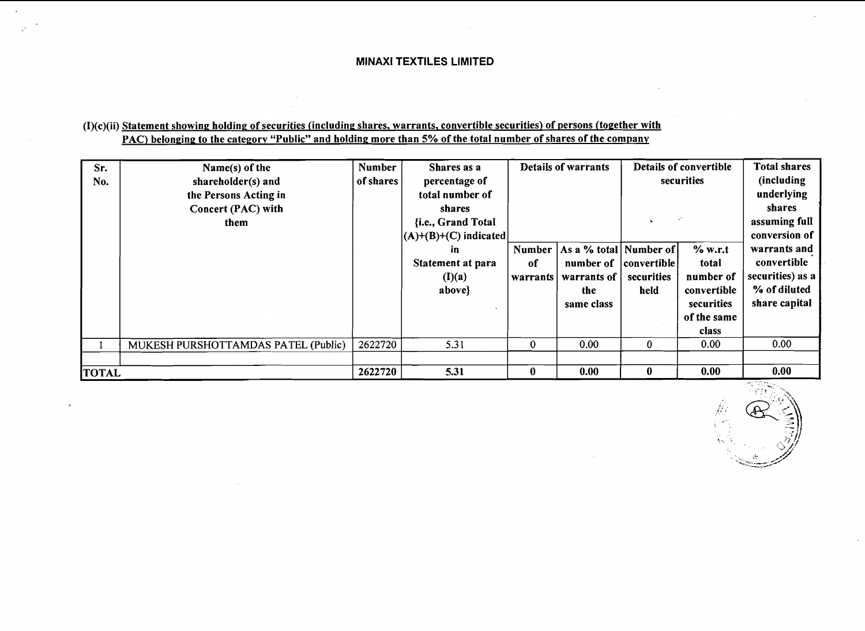### $(1)(c)(ii)$  Statement showing holding of securities (including shares, warrants, convertible securities) of persons (together with PAC) belonging to the category "Public" and holding more than 5% of the total number of shares of the company

| Sr.<br>No.   | Name(s) of the<br>shareholder(s) and<br>the Persons Acting in<br>Concert (PAC) with<br>them | <b>Number</b><br>of shares | Shares as a<br>percentage of<br>total number of<br>shares<br>{i.e., Grand Total | <b>Details of warrants</b> |                                                                             |                                    |                                                                                    | Details of convertible<br>securities                                                              |  | <b>Total shares</b><br>(including<br>underlying<br>shares<br>assuming full |
|--------------|---------------------------------------------------------------------------------------------|----------------------------|---------------------------------------------------------------------------------|----------------------------|-----------------------------------------------------------------------------|------------------------------------|------------------------------------------------------------------------------------|---------------------------------------------------------------------------------------------------|--|----------------------------------------------------------------------------|
|              |                                                                                             |                            | $ (A)+(B)+(C)$ indicated<br>in<br>Statement at para<br>(I)(a)<br>above}         | Number<br>of<br>warrants   | As a % total   Number of  <br>number of<br>warrants of<br>the<br>same class | convertible <br>securities<br>held | % w.r.t<br>total<br>number of<br>convertible<br>securities<br>of the same<br>class | conversion of<br>warrants and<br>convertible<br>securities) as a<br>% of diluted<br>share capital |  |                                                                            |
|              | MUKESH PURSHOTTAMDAS PATEL (Public)                                                         | 2622720                    | 5.31                                                                            | $\bf{0}$                   | 0.00                                                                        | $\bf{0}$                           | 0.00                                                                               | 0.00                                                                                              |  |                                                                            |
| <b>TOTAL</b> |                                                                                             | 2622720                    | 5.31                                                                            | $\bf{0}$                   | 0.00                                                                        | $\bf{0}$                           | 0.00                                                                               | 0.00                                                                                              |  |                                                                            |

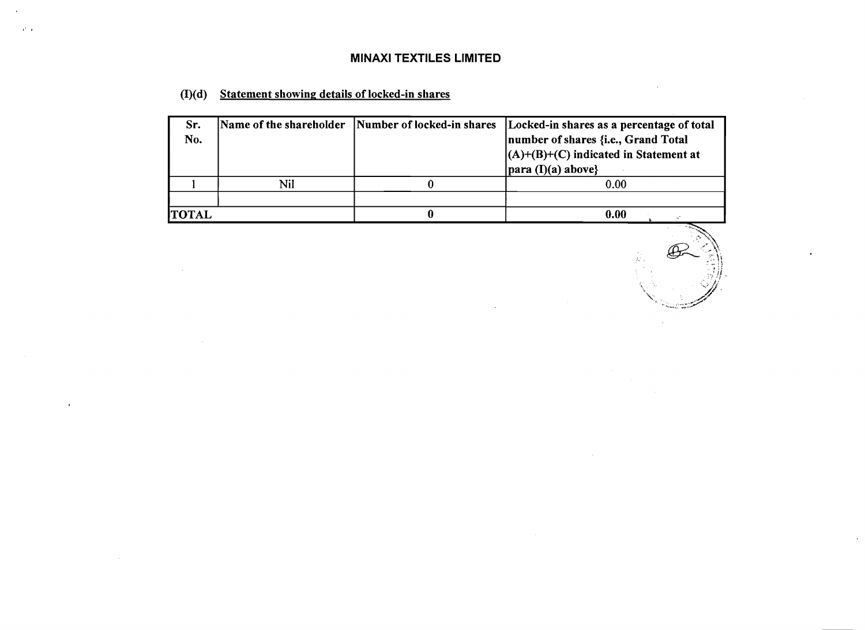## **(I)(d) Statement showinp details of locked-in shares**

 $\mathcal{P}^{\mathcal{C}}$  .

| Sr.<br>No.   |     | Name of the shareholder Number of locked-in shares | Locked-in shares as a percentage of total<br>number of shares {i.e., Grand Total<br>$(A)+(B)+(C)$ indicated in Statement at<br>$\vert$ para (I)(a) above} |
|--------------|-----|----------------------------------------------------|-----------------------------------------------------------------------------------------------------------------------------------------------------------|
|              | Nil |                                                    | 0.00                                                                                                                                                      |
|              |     |                                                    |                                                                                                                                                           |
| <b>TOTAL</b> |     |                                                    | 0.00                                                                                                                                                      |

₩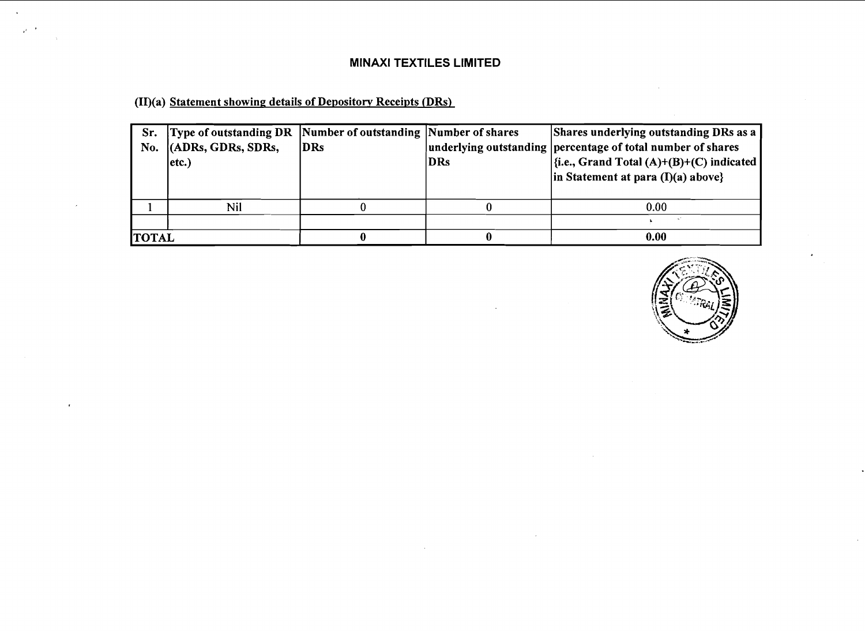(II)(a) Statement showing details of Depository Receipts (DRs)

 $\Delta$  $\mathcal{A}^{\mathcal{A}}$ 

| No.          | Sr. Type of outstanding DR   Number of outstanding   Number of shares<br>$ $ (ADRs, GDRs, SDRs,<br>etc.) | <b>IDRs</b> | DRs | Shares underlying outstanding DRs as a<br>underlying outstanding percentage of total number of shares<br>$\left \frac{1}{2}$ .e., Grand Total (A)+(B)+(C) indicated<br>$\vert$ in Statement at para (I)(a) above} |
|--------------|----------------------------------------------------------------------------------------------------------|-------------|-----|-------------------------------------------------------------------------------------------------------------------------------------------------------------------------------------------------------------------|
|              | Nil                                                                                                      |             |     | 0.00                                                                                                                                                                                                              |
|              |                                                                                                          |             |     |                                                                                                                                                                                                                   |
| <b>TOTAL</b> |                                                                                                          |             |     | 0.00                                                                                                                                                                                                              |